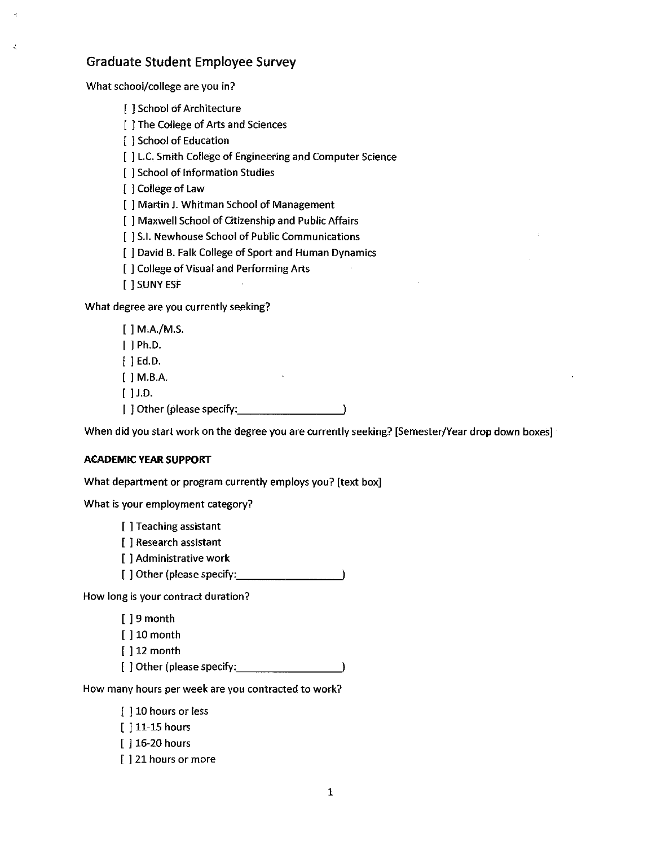# Graduate Student Employee Survey

What school/college are you in?

[ ] School of Architecture

[ ] The College of Arts and Sciences

[ ] School of Education

[  $]$  L.C. Smith College of Engineering and Computer Science

[ ] School of Information Studies

[ ] College of Law

[ ] Martin J. Whitman School of Management

[ ] Maxwell School of Citizenship and Public Affairs

[  $\vert$  ] S.I. Newhouse School of Public Communications

[ ] David B. Falk College of Sport and Human Dynamics

[ ] College of Visual and Performing Arts

[ ] SUNY ESF

What degree are you currently seeking?

[ ] M.A./M.S. [ ] Ph.D. [ ] Ed.D. [ ] M.B.A.

[ ] J.D.

[ ] other (please specify: \_\_\_\_\_\_\_ <sup>~</sup>

When did you start work on the degree you are currently seeking? [Semester/Year drop down boxes]

### **ACADEMIC YEAR SUPPORT**

What department or program currently employs you? [text box]

What is your employment category?

[ ] Teaching assistant

[ ] Research assistant

- [ ] Administrative work
- [ ] Other (please specify:  $\qquad \qquad$  )

How long is your contract duration?

| [] 9 month                 |  |
|----------------------------|--|
| $\lceil$ 10 month          |  |
| $\lceil$ 12 month          |  |
| [ ] Other (please specify: |  |

How many hours per week are you contracted to work?

[ ] 10 hours or less

[ ] 11-15 hours

[ ] 16-20 hours

[  $\vert$  21 hours or more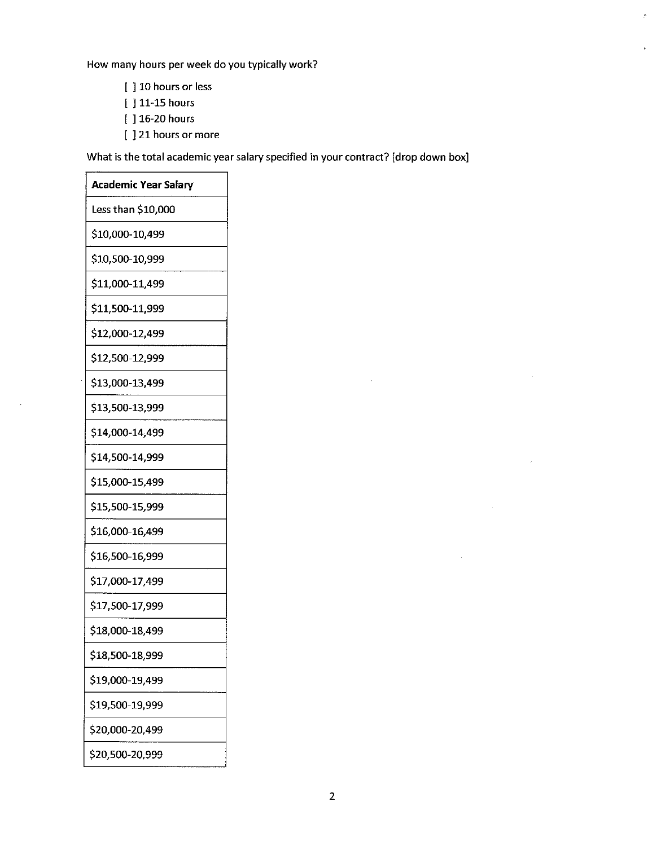How many hours per week do you typically work?

- [ ] 10 hours or less
- [ ] 11-15 hours
- [ ] 16-20 hours
- [ ] 21 hours or more

What is the total academic year salary specified in your contract? [drop down box]

| <b>Academic Year Salary</b> |
|-----------------------------|
| Less than \$10,000          |
| \$10,000-10,499             |
| \$10,500-10,999             |
| \$11,000-11,499             |
| \$11,500-11,999             |
| \$12,000-12,499             |
| \$12,500-12,999             |
| \$13,000-13,499             |
| \$13,500-13,999             |
| \$14,000-14,499             |
| \$14,500-14,999             |
| \$15,000-15,499             |
| \$15,500-15,999             |
| \$16,000-16,499             |
| \$16,500-16,999             |
| \$17,000-17,499             |
| \$17,500-17,999             |
| \$18,000-18,499             |
| \$18,500-18,999             |
| \$19,000-19,499             |
| \$19,500-19,999             |
| \$20,000-20,499             |
| \$20,500-20,999             |

 $\mathcal{L}$ 

 $\hat{\mathcal{A}}$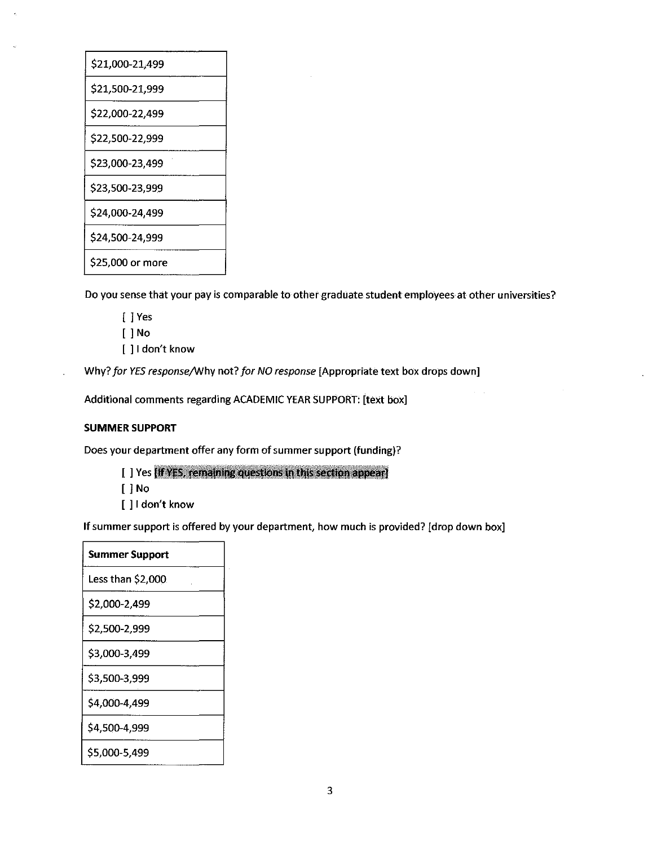| \$21,000-21,499  |
|------------------|
| \$21,500-21,999  |
| \$22,000-22,499  |
| \$22,500-22,999  |
| \$23,000-23,499  |
| \$23,500-23,999  |
| \$24,000-24,499  |
| \$24,500-24,999  |
| \$25,000 or more |

Do you sense that your pay is comparable to other graduate student employees at other universities?

[ ] Yes [ ] No [ ] I don't know

Why? *for YES response/\Nhy* not? *for NO response* [Appropriate text box drops down]

Additional comments regarding ACADEMIC YEAR SUPPORT: [text box]

# **SUMMER SUPPORT**

 $\overline{a}$ 

Does your department offer any form of summer support (funding)?

- [ ] Yes [If YES, remaining questions in this section appear]
- [ ] No
- [ ] I don't know

If summer support is offered by your department, how much is provided? [drop down box]

| <b>Summer Support</b> |
|-----------------------|
| Less than \$2,000     |
| \$2,000-2,499         |
| \$2,500-2,999         |
| \$3,000-3,499         |
| \$3,500-3.999         |
| \$4,000-4,499         |
| \$4,500-4,999         |
| \$5,000-5,499         |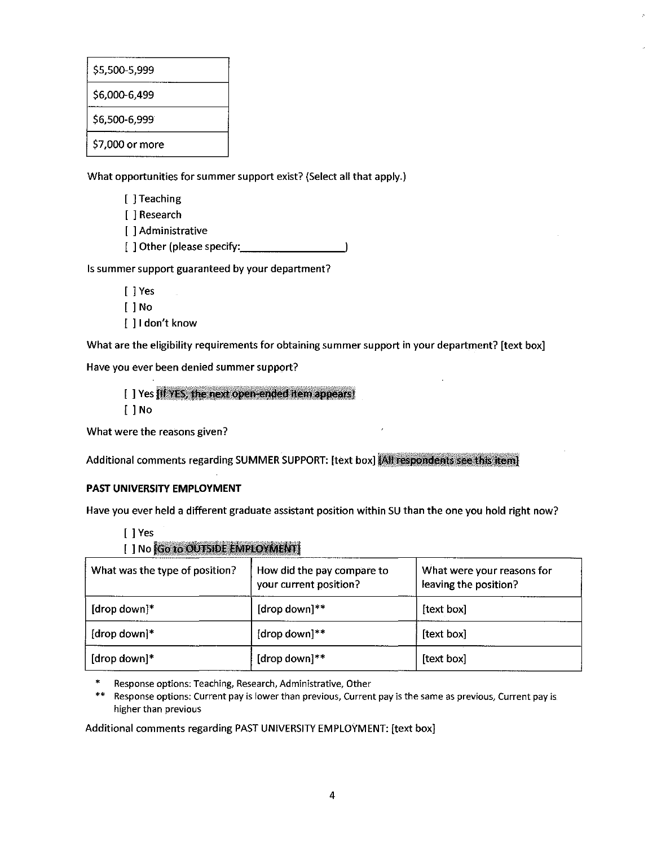| \$5,500-5,999   |
|-----------------|
| \$6,000-6,499   |
| \$6,500-6,999   |
| \$7,000 or more |

What opportunities for summer support exist? (Select all that apply.)

- [ ] Teaching
- [ ] Research
- [ ] Administrative
- [ ] Other (please specify: \_\_\_\_\_\_\_\_\_\_

Is summer support guaranteed by your department?

- [ ] Yes
- [ ] No
- [ ] I don't know

What are the eligibility requirements for obtaining summer support in your department? [text box]

Have you ever been denied summer support?

- [] Yes [If YES, the next open-ended item appears]
- [ ] No

What were the reasons given?

Additional comments regarding SUMMER SUPPORT: [text box] [All respondents see this item]

# **PAST UNIVERSITY EMPLOYMENT**

Have you ever held a different graduate assistant position within SU than the one you hold right now?

- [ ] Yes
- [ ] No Go to OUTSIDE EMPLOYMENT]

| What was the type of position? | How did the pay compare to<br>your current position? | What were your reasons for<br>leaving the position? |
|--------------------------------|------------------------------------------------------|-----------------------------------------------------|
| $[drop down]*$                 | [drop down]**                                        | [text box]                                          |
| [drop down] $*$                | [drop down]**                                        | [text box]                                          |
| [drop down]*                   | [drop down]**                                        | [text box]                                          |

• **Response options: Teaching, Research, Administrative, Other** 

\*\* **Response options: Current pay is lower than previous, Current pay is the same as previous, Current pay is higher than previous** 

Additional comments regarding PAST UNIVERSITY EMPLOYMENT: [text box]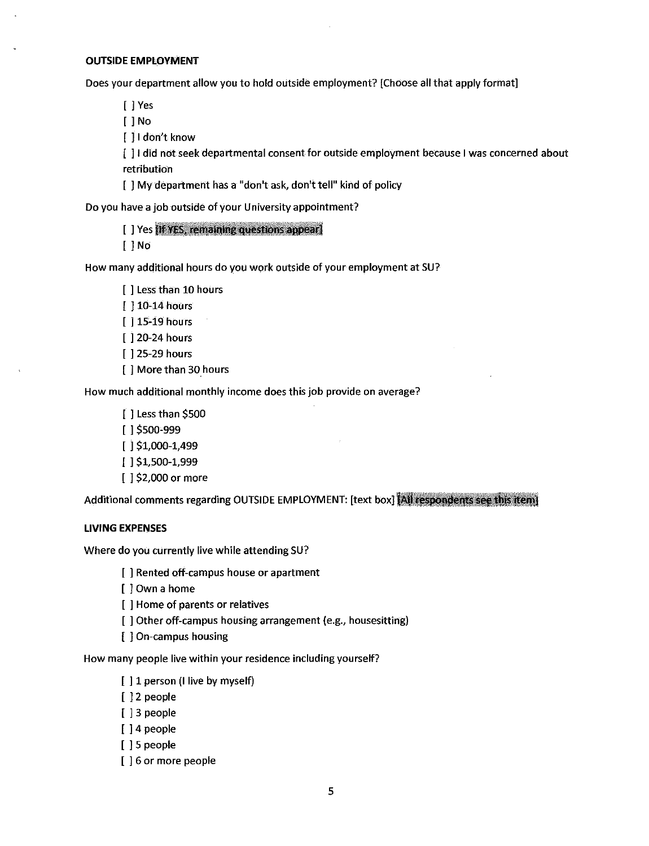#### **OUTSIDE EMPLOYMENT**

Does your department allow you to hold outside employment? [Choose all that apply format]

[ ] Yes

[ ] No

[ ] I don't know

[ ] I did not seek departmental consent for outside employment because I was concerned about retribution

[ ] My department has a "don't ask, don't tell" kind of policy

Do you have a job outside of your University appointment?

[ ] Yes IIf YES, remaining questions appear]

[ ] No

How many additional hours do you work outside of your employment at SU?

[ ] Less than 10 hours [ ] 10-14 hours [ ] 15-19 hours [ ] 20-24 hours [ ] 25-29 hours [ ] More than 30 hours

How much additional monthly income does this job provide on average?

[] Less than \$500 [ l \$500-999 [ l \$1,000-1,499 [ l \$1,500-1,999 [ ] \$2,000 or more

Additional comments regarding OUTSIDE EMPLOYMENT: [text box] [All respondents see this item]

### **LIVING EXPENSES**

Where do you currently live while attending SU?

[ ] Rented off-campus house or apartment

[  $]$  Own a home

[ ] Home of parents or relatives

[ ] Other off-campus housing arrangement (e.g., housesitting)

[ ] On-campus housing

How many people live within your residence including yourself?

[] 1 person (I live by myself)

[ ] 2 people

[ ] 3 people

[ ] 4 people

[ ] 5 people

[ ] 6 or more people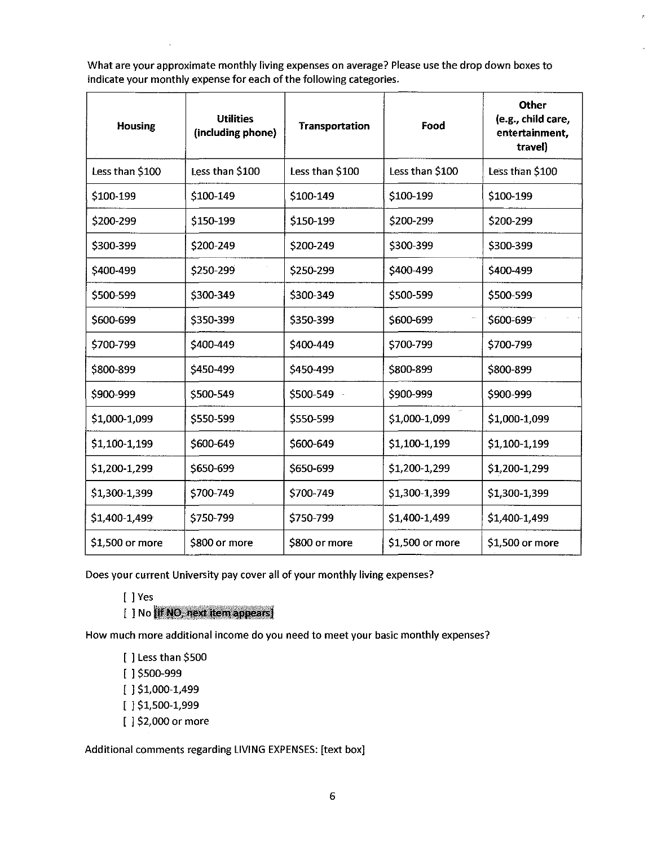What are your approximate monthly living expenses on average? Please use the drop down boxes to indicate your monthly expense for each of the following categories.

| <b>Housing</b>  | <b>Utilities</b><br>(including phone) | <b>Transportation</b> | Food            | Other<br>(e.g., child care,<br>entertainment,<br>travel) |
|-----------------|---------------------------------------|-----------------------|-----------------|----------------------------------------------------------|
| Less than \$100 | Less than \$100                       | Less than \$100       | Less than \$100 | Less than \$100                                          |
| \$100-199       | \$100-149                             | \$100-149             | \$100-199       | \$100-199                                                |
| \$200-299       | \$150-199                             | \$150-199             | \$200-299       | \$200-299                                                |
| \$300-399       | \$200-249                             | \$200-249             | \$300-399       | \$300-399                                                |
| \$400-499       | \$250-299                             | \$250-299             | \$400-499       | \$400-499                                                |
| \$500-599       | \$300-349                             | \$300-349             | \$500-599       | \$500-599                                                |
| \$600-699       | \$350-399                             | \$350-399             | \$600-699       | \$600-699                                                |
| \$700-799       | \$400-449                             | \$400-449             | \$700-799       | \$700-799                                                |
| \$800-899       | \$450-499                             | \$450-499             | \$800-899       | \$800-899                                                |
| \$900-999       | \$500-549                             | \$500-549             | \$900-999       | \$900-999                                                |
| \$1,000-1,099   | \$550-599                             | \$550-599             | \$1,000-1,099   | \$1,000-1,099                                            |
| \$1,100-1,199   | \$600-649                             | \$600-649             | \$1,100-1,199   | \$1,100-1,199                                            |
| \$1,200-1,299   | \$650-699                             | \$650-699             | \$1,200-1,299   | \$1,200-1,299                                            |
| \$1,300-1,399   | \$700-749                             | \$700-749             | \$1,300-1,399   | \$1,300-1,399                                            |
| \$1,400-1,499   | \$750-799                             | \$750-799             | \$1,400-1,499   | \$1,400-1,499                                            |
| \$1,500 or more | \$800 or more                         | \$800 or more         | \$1,500 or more | \$1,500 or more                                          |

Does your current University pay cover all of your monthly living expenses?

[ ] Yes

 $[$   $]$  No  $[$  if NO, next item appears  $]$ 

How much more additional income do you need to meet your basic monthly expenses?

[ ] Less than \$500 [ l \$500-999 [ l \$1,000-1,499 [ l \$1,500-1,999 [ ] \$2,000 or more

Additional comments regarding LIVING EXPENSES: [text box]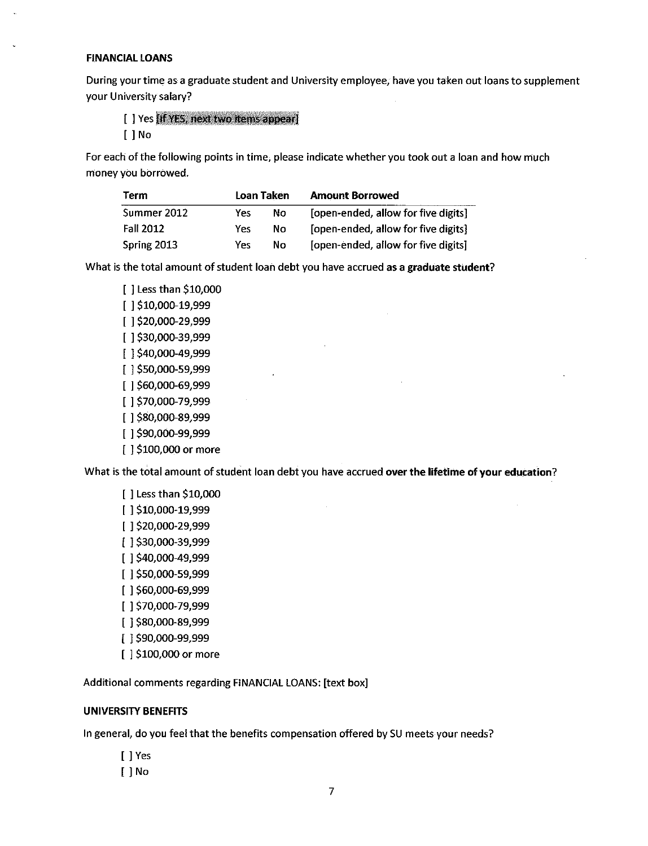#### **FINANCIAL LOANS**

During your time as a graduate student and University employee, have you taken out loans to supplement your University salary?

[ ] Yes [If YES, next two items appear]

[ ] No

For each of the following points in time, please indicate whether you took out a loan and how much money you borrowed.

| Term        |     | Loan Taken | <b>Amount Borrowed</b>              |
|-------------|-----|------------|-------------------------------------|
| Summer 2012 | Yes | Nο         | [open-ended, allow for five digits] |
| Fall 2012   | Yes | Nο         | [open-ended, allow for five digits] |
| Spring 2013 | Yes | No         | [open-ended, allow for five digits] |

What is the total amount of student loan debt you have accrued as a **graduate student?** 

 $\mathcal{L}^{\mathcal{L}}$ 

[ ] Less than \$10,000 [ l \$10,000-19,999 [ l \$20,000-29,999 [ l \$30,000-39,999 [ l \$40,000-49,999 [ l \$50,000-59,999 [ l \$60,000-69,999 [ l \$70,000-79,999 [ l \$80,000-89,999 [ l \$90,000-99,999 [ ] \$100,000 or more

What is the total amount of student loan debt you have accrued **over the lifetime of your education?** 

[ ] Less than \$10,000 [ l \$10,000-19,999 [ l \$20,000-29,999 [ l \$30,000-39,999 [ l \$40,000-49,999 [ l \$50,000-59,999 [ l \$60,000-69,999 [ l \$70,000-79,999 [ l \$80,000-89,999 [ l \$90,000-99,999 [ ] \$100,000 or more

Additional comments regarding FINANCIAL LOANS: [text box]

### **UNIVERSITY BENEFITS**

In general, do you feel that the benefits compensation offered by SU meets your needs?

- [ ] Yes
- [ ] No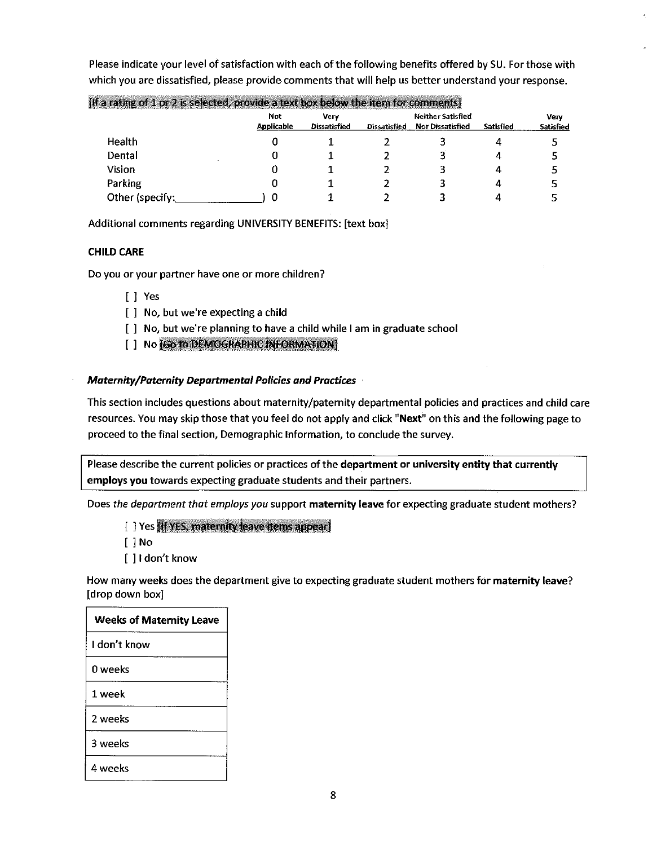| [If a rating of 1 or 2 is selected, provide a text box below the item for comments] |                          |                             |                     |                                                     |                  |                                 |
|-------------------------------------------------------------------------------------|--------------------------|-----------------------------|---------------------|-----------------------------------------------------|------------------|---------------------------------|
|                                                                                     | Not<br><b>Applicable</b> | Verv<br><b>Dissatisfied</b> | <b>Dissatisfied</b> | <b>Neither Satisfied</b><br><b>Nor Dissatisfied</b> | <b>Satisfied</b> | <b>Verv</b><br><b>Satisfied</b> |
| <b>Health</b>                                                                       |                          |                             |                     |                                                     |                  |                                 |
| Dental                                                                              |                          |                             |                     |                                                     |                  |                                 |
| Vision                                                                              |                          |                             |                     |                                                     |                  |                                 |
| Parking                                                                             |                          |                             |                     |                                                     |                  |                                 |
| Other (specify:                                                                     |                          |                             |                     |                                                     |                  |                                 |

Please indicate your level of satisfaction with each of the following benefits offered by SU. For those with which you are dissatisfied, please provide comments that will help us better understand your response.

Additional comments regarding UNIVERSITY BENEFITS: [text box]

### **CHILD CARE**

Do you or your partner have one or more children?

- [ ] Yes
- [ ] No, but we're expecting a child
- [  $\parallel$  No, but we're planning to have a child while I am in graduate school
- [ ] No  $[Go to DEMOGRAPHIC INFORMATION]$

### *Maternity/Paternity Departmental Policies and Practices* ·

This section includes questions about maternity/paternity departmental policies and practices and child care resources. You may skip those that you feel do not apply and click "Next" on this and the following page to proceed to the final section, Demographic Information, to conclude the survey.

Please describe the current policies or practices of the department or university entity that currently employs you towards expecting graduate students and their partners.

Does *the department that employs you* support maternity leave for expecting graduate student mothers?

- [ ] Yes (If YES, maternity leave items appear)
- [ ] No
- [ ] I don't know

How many weeks does the department give to expecting graduate student mothers for maternity leave? [drop down box]

| <b>Weeks of Maternity Leave</b> |
|---------------------------------|
| I don't know                    |
| 0 weeks                         |
| 1 week                          |
| 2 weeks                         |
| 3 weeks                         |
| 4 weeks                         |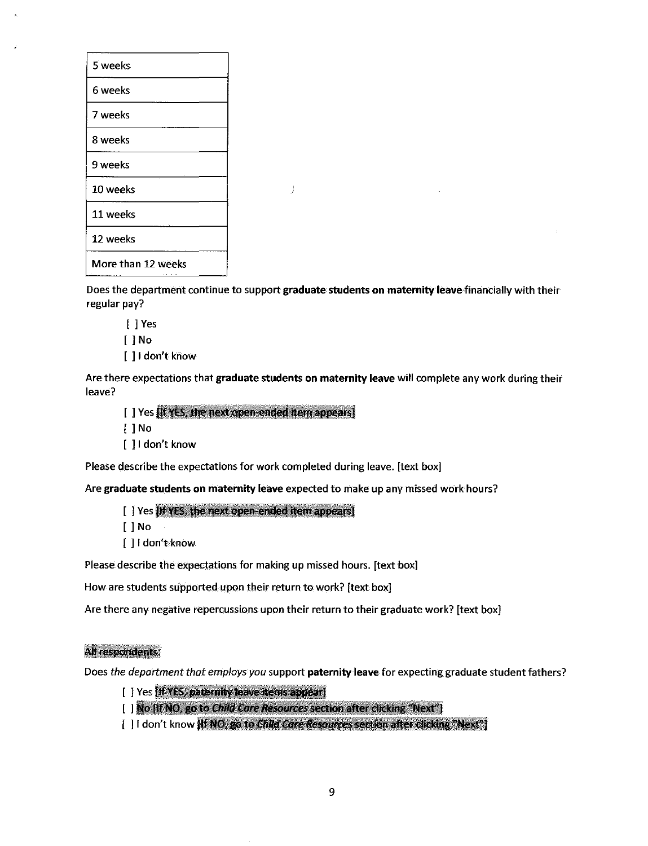| 5 weeks            |  |
|--------------------|--|
| 6 weeks            |  |
| 7 weeks            |  |
| 8 weeks            |  |
| 9 weeks            |  |
| 10 weeks           |  |
| 11 weeks           |  |
| 12 weeks           |  |
| More than 12 weeks |  |

Does the department continue to support **graduate students on maternity leave** financially with their regular pay?

 $\frac{1}{2}$ 

[ ] Yes [ ] No [ ] I don't know

Are there expectations that **graduate students on maternity leave** witl complete any work during their leave?

 $\left[ \;\right]$  Yes  $\left[ \text{If }\text{YES, the next open-ended item appears} \right]$ [ ] No [  $1$  I don't know

Please describe the expectations for work completed during leave. [text box]

Are **graduate students on maternity leave** expected to make up any missed work hours?

[ ] Yes IIf YES, the next open-ended item appears]

[ ] No

[ ] I don't know

Please describe the expectations for making up missed hours. [text box]

How are students supported upon their return to work? [text box]

Are there any negative repercussions upon their return to their graduate work? [text box]

# All respondents:

Does the department that employs you support paternity leave for expecting graduate student fathers?

- [ ] Yes [If YES, paternity leave items appear]
- [ ] No [If NO, go to Child Care Resources section after clicking "Next"]
- [ ] I don't know [If NO, go to Child Care Resources section after clicking "Next"]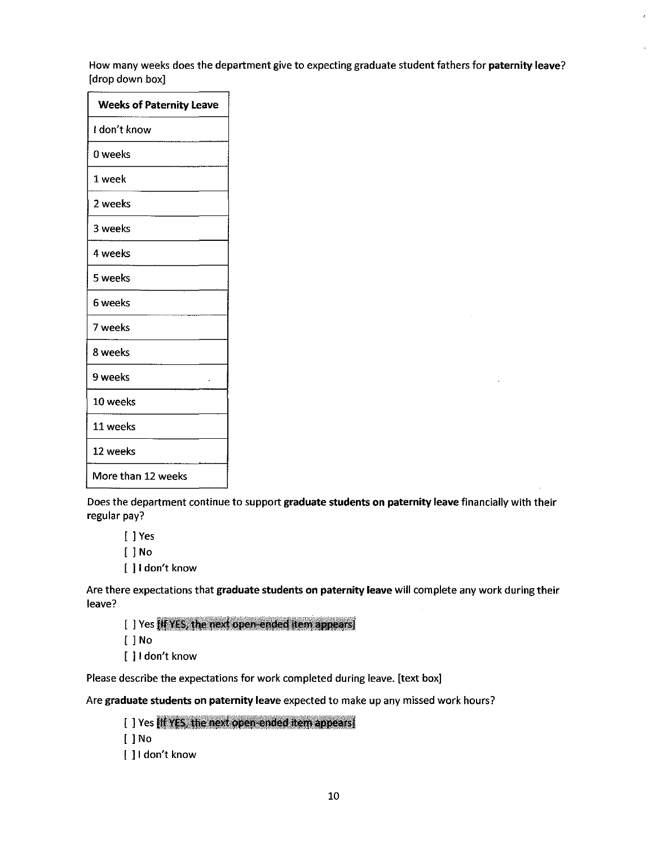How many weeks does the department give to expecting graduate student fathers for paternity leave? [drop down box]

| <b>Weeks of Paternity Leave</b> |
|---------------------------------|
| i don't know                    |
| 0 weeks                         |
| 1 week                          |
| 2 weeks                         |
| 3 weeks                         |
| 4 weeks                         |
| 5 weeks                         |
| 6 weeks                         |
| 7 weeks                         |
| 8 weeks                         |
| 9 weeks<br>v.                   |
| 10 weeks                        |
| 11 weeks                        |
| 12 weeks                        |
| More than 12 weeks              |

Does the department continue to support graduate students on **paternity** leave financially with their regular pay?

[ ] Yes

[ ] No

[ ] I don't know

Are there expectations that graduate students on paternity leave will complete any work during their leave?

[] Yes (If YES, the next open-ended item appears)

[ ] No

[ ] I don't know

Please describe the expectations for work completed during leave. [text box]

Are graduate students on paternity leave expected to make up any missed work hours?

[ ] Yes If YES, the next open-ended item appears] [ ] No [ ] I don't know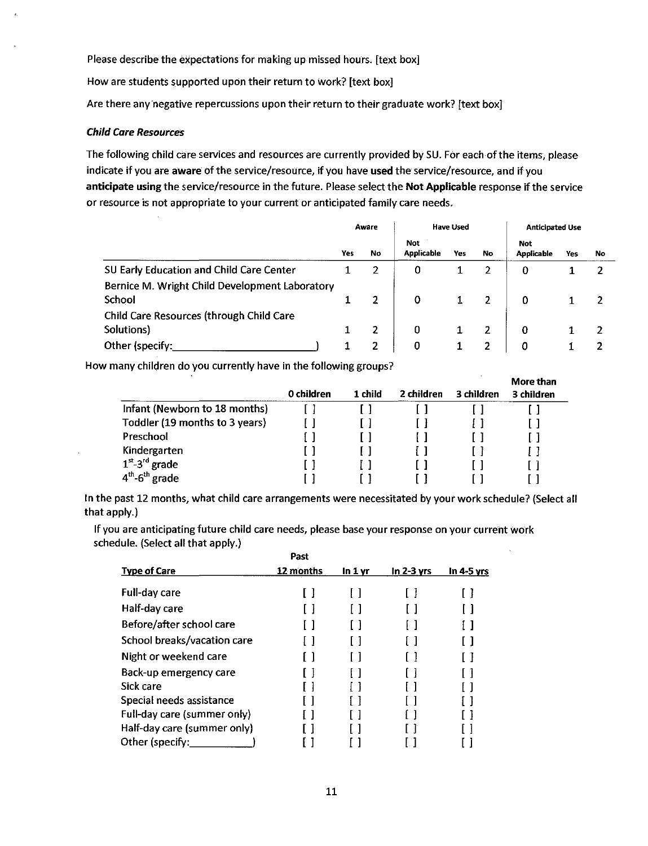Please describe the expectations for making up missed hours. [text box]

How are students supported upon their return to work? [text box]

Are there any'negative repercussions upon their return to their graduate work? [text box]

### Child Care Resources

The following child care services and resources are currently provided by SU. For each of the items, please indicate if you are aware of the service/resource, if you have used the service/resource, and if you anticipate using the service/resource in the future. Please select the Not Applicable response if the service or resource is not appropriate to your current or anticipated family care needs.

|                                                          | Aware |                | <b>Have Used</b>         |     |           | <b>Anticipated Use</b>          |     |     |
|----------------------------------------------------------|-------|----------------|--------------------------|-----|-----------|---------------------------------|-----|-----|
|                                                          | Yes   | No             | Not<br><b>Applicable</b> | Yes | <b>No</b> | <b>Not</b><br><b>Applicable</b> | Yes | No. |
| SU Early Education and Child Care Center                 |       | 2              | 0                        |     | 2         | 0                               |     | 2   |
| Bernice M. Wright Child Development Laboratory<br>School |       | $\overline{2}$ | 0                        | 1.  | 2         | 0                               |     | 2   |
| Child Care Resources (through Child Care                 |       |                |                          |     |           |                                 |     |     |
| Solutions)                                               |       | $\overline{2}$ | 0                        |     | 2         | 0                               |     | 2   |
| Other (specify:                                          |       | 2              | 0                        |     | 2         | 0                               |     |     |

How many children do you currently have in the following groups?

|                                | 0 children | 1 child | 2 children | 3 children | More than<br>3 children |
|--------------------------------|------------|---------|------------|------------|-------------------------|
| Infant (Newborn to 18 months)  |            |         |            |            |                         |
| Toddler (19 months to 3 years) |            |         |            |            |                         |
| Preschool                      |            |         |            |            |                         |
| Kindergarten                   |            |         |            |            |                         |
| $1st - 3rd$ grade              |            |         |            |            |                         |
| $4th$ -6 <sup>th</sup> grade   |            |         |            |            |                         |

In the past 12 months, what child care arrangements were necessitated by your work schedule? (Select all that apply.)

If you are anticipating future child care needs, please base your response on your current work schedule. (Select all that apply.)

|                             | Past      |         |              |            |
|-----------------------------|-----------|---------|--------------|------------|
| <b>Type of Care</b>         | 12 months | In 1 yr | $ln 2-3$ yrs | In 4-5 yrs |
| <b>Full-day care</b>        |           |         |              |            |
| Half-day care               |           |         |              |            |
| Before/after school care    |           |         |              |            |
| School breaks/vacation care |           |         |              |            |
| Night or weekend care       |           |         |              |            |
| Back-up emergency care      |           |         |              |            |
| Sick care                   |           |         |              |            |
| Special needs assistance    |           |         |              |            |
| Full-day care (summer only) |           |         |              |            |
| Half-day care (summer only) |           |         |              |            |
| Other (specify:             |           |         |              |            |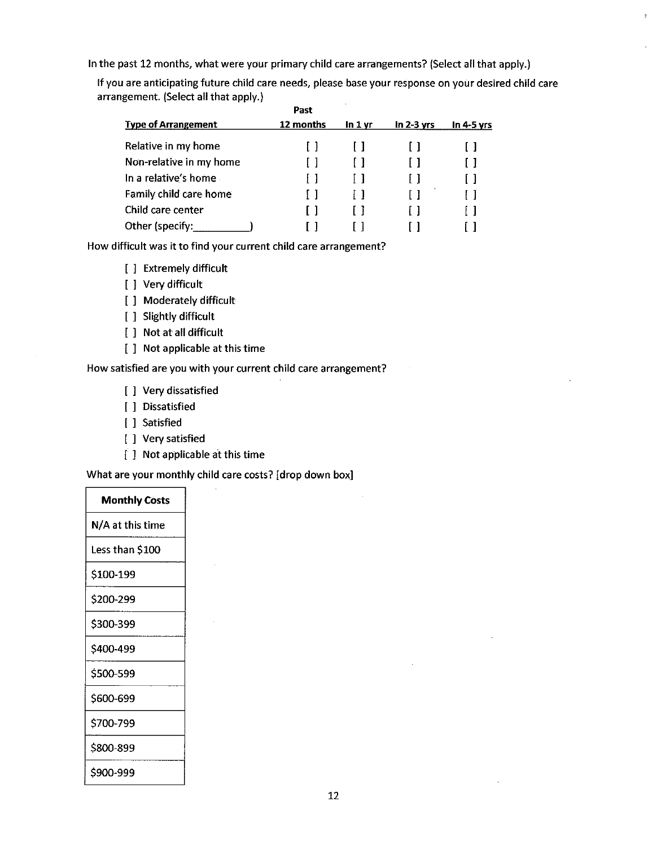In the past 12 months, what were your primary child care arrangements? (Select all that apply.}

If you are anticipating future child care needs, please base your response on your desired child care arrangement. (Select all that apply.} **Past** 

|                            | Past      |         |              |              |
|----------------------------|-----------|---------|--------------|--------------|
| <b>Type of Arrangement</b> | 12 months | In 1 vr | $ln 2-3$ yrs | In $4-5$ vrs |
| Relative in my home        |           |         |              | $\mathsf{L}$ |
| Non-relative in my home    |           |         |              | $\mathsf{L}$ |
| In a relative's home       |           |         | $\mathbf{1}$ | Ιł           |
| Family child care home     |           |         |              |              |
| Child care center          |           |         |              |              |
| Other (specify:            |           |         |              |              |

How difficult was it to find your current child care arrangement?

- [ ] Extremely difficult
- [ ] Very difficult
- [ ] Moderately difficult
- [ ] Slightly difficult
- [ ] Not at all difficult
- [ ] Not applicable at this time

### How satisfied are you with your current child care arrangement?

- [ ] Very dissatisfied
- [ ] Dissatisfied
- [ ] Satisfied
- [ ] Very satisfied
- [ ] Not applicable at this time

What are your monthly child care costs? [drop down box]

| <b>Monthly Costs</b> |  |  |  |  |
|----------------------|--|--|--|--|
| N/A at this time     |  |  |  |  |
| Less than \$100      |  |  |  |  |
| \$100-199            |  |  |  |  |
| \$200-299            |  |  |  |  |
| \$300-399            |  |  |  |  |
| S400-499             |  |  |  |  |
| \$500-599            |  |  |  |  |
| \$600-699            |  |  |  |  |
| \$700-799            |  |  |  |  |
| \$800-899            |  |  |  |  |
| \$900-999            |  |  |  |  |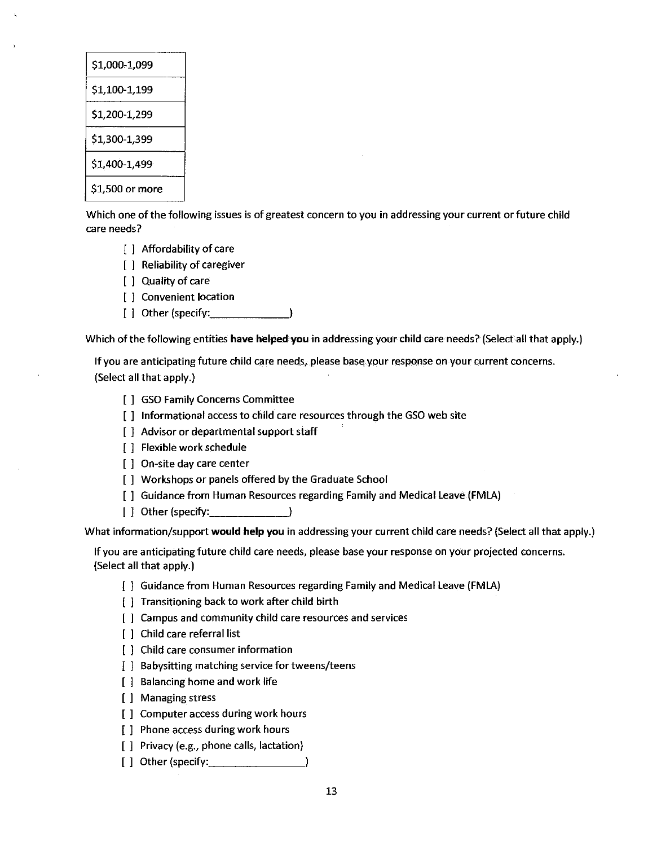| \$1,000-1,099   |
|-----------------|
| \$1,100-1,199   |
| \$1,200-1,299   |
| \$1,300-1,399   |
| \$1,400-1,499   |
| \$1,500 or more |

Which one of the following issues is of greatest concern to you in addressing your current or future child care needs?

- [ ] Affordability of care
- [ ] Reliability of caregiver
- [ ] Quality of care
- [ ] Convenient location
- [ ] Other (specify:  $\qquad \qquad$  )

Which of the following entities **have helped you** in addressing your child care needs? (Select all that apply.)

If you are anticipating future child care needs, please base.your response on your current concerns. (Select all that apply.)

- [ ] GSO Family Concerns Committee
- [ ] Informational access to child care resources through the GSO web site
- [ ] Advisor or departmental support staff
- [ ] Flexible work schedule
- [ ] On-site day care center
- [ ] Workshops or panels offered by the Graduate School
- [ ] Guidance from Human Resources regarding Family and Medical Leave (FMLA)
- [ ] Other (specify: \_\_\_\_\_ \_

What information/support **would help you** in addressing your current child care needs? (Select all that apply.)

If you are anticipating future child care needs, please base your response on your projected concerns. (Select all that apply.)

- [ ] Guidance from Human Resources regarding Family and Medical Leave (FMLA)
- [ ] Transitioning back to work after child birth
- [ ] Campus and community child care resources and services
- [ ] Child care referral list
- [ ] Child care consumer information
- [ ] Babysitting matching service for tweens/teens
- [ ] Balancing home and work life
- [ ] Managing stress
- [ ] Computer access during work hours
- [ ] Phone access during work hours
- [ ] Privacy (e.g., phone calls, lactation)
- [ ] Other (specify: )